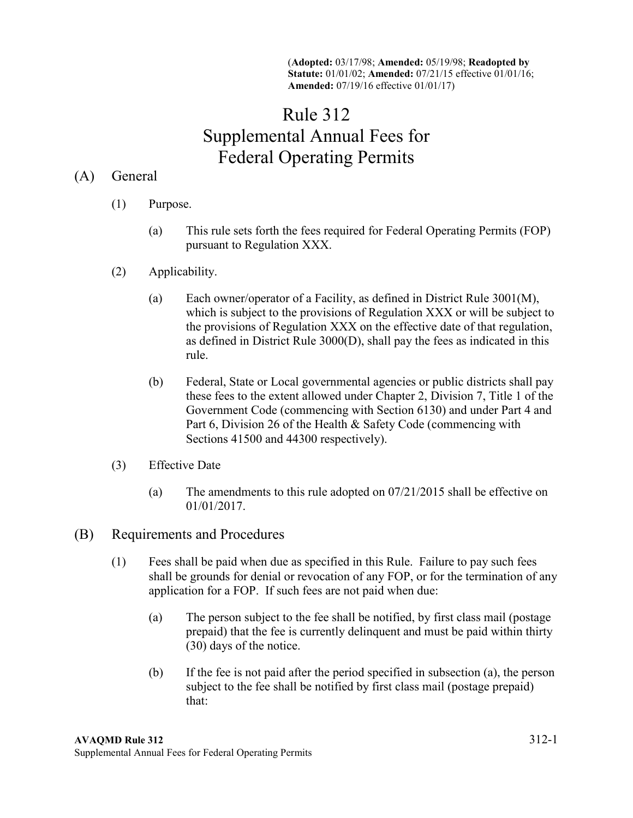(**Adopted:** 03/17/98; **Amended:** 05/19/98; **Readopted by Statute:** 01/01/02; **Amended:** 07/21/15 effective 01/01/16; **Amended:** 07/19/16 effective 01/01/17)

## Rule 312 Supplemental Annual Fees for Federal Operating Permits

## (A) General

- (1) Purpose.
	- (a) This rule sets forth the fees required for Federal Operating Permits (FOP) pursuant to Regulation XXX.
- (2) Applicability.
	- (a) Each owner/operator of a Facility, as defined in District Rule 3001(M), which is subject to the provisions of Regulation XXX or will be subject to the provisions of Regulation XXX on the effective date of that regulation, as defined in District Rule 3000(D), shall pay the fees as indicated in this rule.
	- (b) Federal, State or Local governmental agencies or public districts shall pay these fees to the extent allowed under Chapter 2, Division 7, Title 1 of the Government Code (commencing with Section 6130) and under Part 4 and Part 6, Division 26 of the Health & Safety Code (commencing with Sections 41500 and 44300 respectively).
- (3) Effective Date
	- (a) The amendments to this rule adopted on 07/21/2015 shall be effective on 01/01/2017.
- (B) Requirements and Procedures
	- (1) Fees shall be paid when due as specified in this Rule. Failure to pay such fees shall be grounds for denial or revocation of any FOP, or for the termination of any application for a FOP. If such fees are not paid when due:
		- (a) The person subject to the fee shall be notified, by first class mail (postage prepaid) that the fee is currently delinquent and must be paid within thirty (30) days of the notice.
		- (b) If the fee is not paid after the period specified in subsection (a), the person subject to the fee shall be notified by first class mail (postage prepaid) that: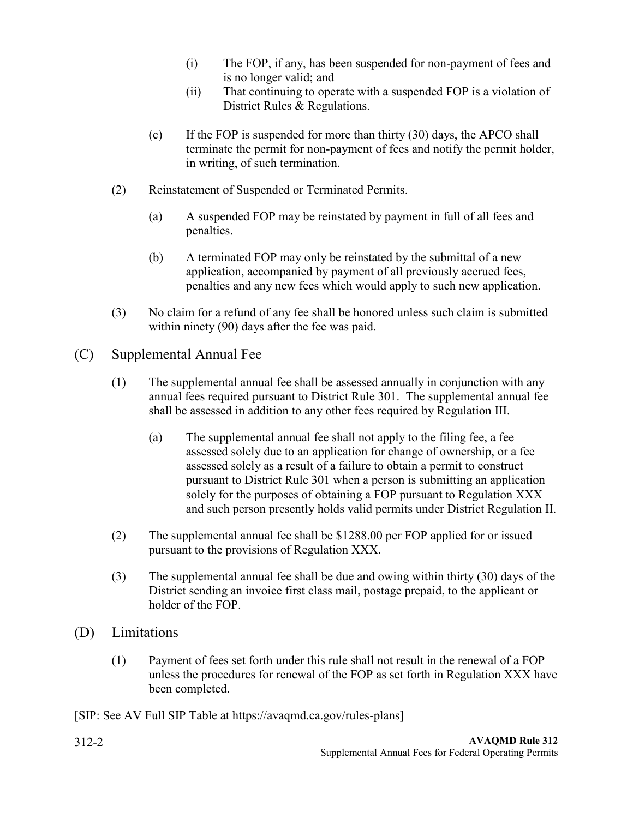- (i) The FOP, if any, has been suspended for non-payment of fees and is no longer valid; and
- (ii) That continuing to operate with a suspended FOP is a violation of District Rules & Regulations.
- (c) If the FOP is suspended for more than thirty (30) days, the APCO shall terminate the permit for non-payment of fees and notify the permit holder, in writing, of such termination.
- (2) Reinstatement of Suspended or Terminated Permits.
	- (a) A suspended FOP may be reinstated by payment in full of all fees and penalties.
	- (b) A terminated FOP may only be reinstated by the submittal of a new application, accompanied by payment of all previously accrued fees, penalties and any new fees which would apply to such new application.
- (3) No claim for a refund of any fee shall be honored unless such claim is submitted within ninety (90) days after the fee was paid.
- (C) Supplemental Annual Fee
	- (1) The supplemental annual fee shall be assessed annually in conjunction with any annual fees required pursuant to District Rule 301. The supplemental annual fee shall be assessed in addition to any other fees required by Regulation III.
		- (a) The supplemental annual fee shall not apply to the filing fee, a fee assessed solely due to an application for change of ownership, or a fee assessed solely as a result of a failure to obtain a permit to construct pursuant to District Rule 301 when a person is submitting an application solely for the purposes of obtaining a FOP pursuant to Regulation XXX and such person presently holds valid permits under District Regulation II.
	- (2) The supplemental annual fee shall be \$1288.00 per FOP applied for or issued pursuant to the provisions of Regulation XXX.
	- (3) The supplemental annual fee shall be due and owing within thirty (30) days of the District sending an invoice first class mail, postage prepaid, to the applicant or holder of the FOP.
- (D) Limitations
	- (1) Payment of fees set forth under this rule shall not result in the renewal of a FOP unless the procedures for renewal of the FOP as set forth in Regulation XXX have been completed.

[SIP: See AV Full SIP Table at https://avaqmd.ca.gov/rules-plans]

312-2